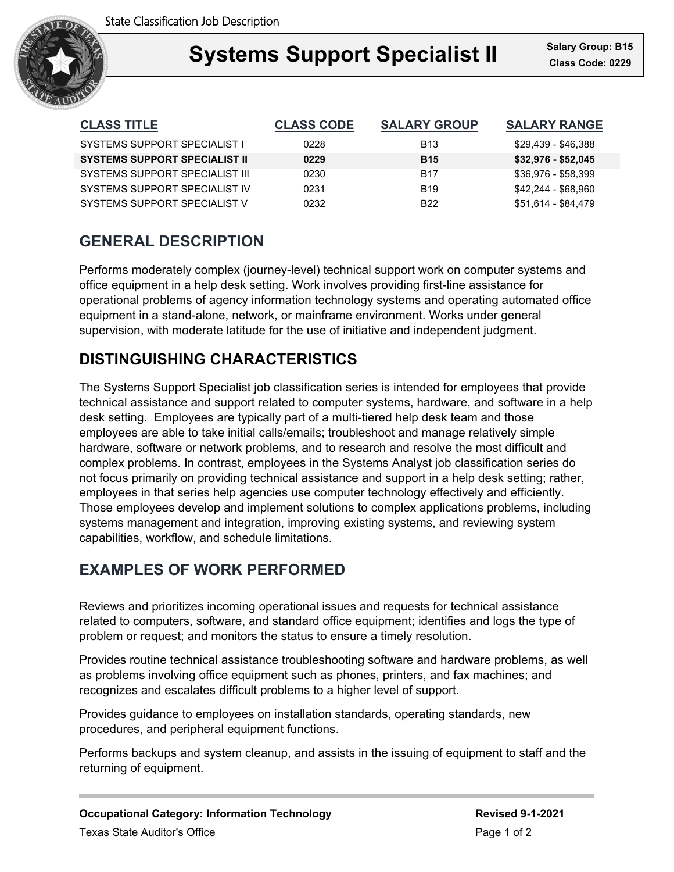

## **Support Specialist II** Salary Gro **Systems Support Specialist II Class Code: 0229**

| <b>CLASS TITLE</b>                   | <b>CLASS CODE</b> | <b>SALARY GROUP</b> | <b>SALARY RANGE</b> |
|--------------------------------------|-------------------|---------------------|---------------------|
| <b>SYSTEMS SUPPORT SPECIALIST I</b>  | 0228              | <b>B13</b>          | \$29,439 - \$46,388 |
| <b>SYSTEMS SUPPORT SPECIALIST II</b> | 0229              | <b>B15</b>          | \$32,976 - \$52,045 |
| SYSTEMS SUPPORT SPECIALIST III       | 0230              | <b>B17</b>          | \$36,976 - \$58,399 |
| SYSTEMS SUPPORT SPECIALIST IV        | 0231              | <b>B19</b>          | \$42,244 - \$68,960 |
| SYSTEMS SUPPORT SPECIALIST V         | 0232              | B <sub>22</sub>     | \$51,614 - \$84,479 |

# **GENERAL DESCRIPTION**

Performs moderately complex (journey-level) technical support work on computer systems and office equipment in a help desk setting. Work involves providing first-line assistance for operational problems of agency information technology systems and operating automated office equipment in a stand-alone, network, or mainframe environment. Works under general supervision, with moderate latitude for the use of initiative and independent judgment.

# **DISTINGUISHING CHARACTERISTICS**

The Systems Support Specialist job classification series is intended for employees that provide technical assistance and support related to computer systems, hardware, and software in a help desk setting. Employees are typically part of a multi-tiered help desk team and those employees are able to take initial calls/emails; troubleshoot and manage relatively simple hardware, software or network problems, and to research and resolve the most difficult and complex problems. In contrast, employees in the Systems Analyst job classification series do not focus primarily on providing technical assistance and support in a help desk setting; rather, employees in that series help agencies use computer technology effectively and efficiently. Those employees develop and implement solutions to complex applications problems, including systems management and integration, improving existing systems, and reviewing system capabilities, workflow, and schedule limitations.

## **EXAMPLES OF WORK PERFORMED**

Reviews and prioritizes incoming operational issues and requests for technical assistance related to computers, software, and standard office equipment; identifies and logs the type of problem or request; and monitors the status to ensure a timely resolution.

Provides routine technical assistance troubleshooting software and hardware problems, as well as problems involving office equipment such as phones, printers, and fax machines; and recognizes and escalates difficult problems to a higher level of support.

Provides guidance to employees on installation standards, operating standards, new procedures, and peripheral equipment functions.

Performs backups and system cleanup, and assists in the issuing of equipment to staff and the returning of equipment.